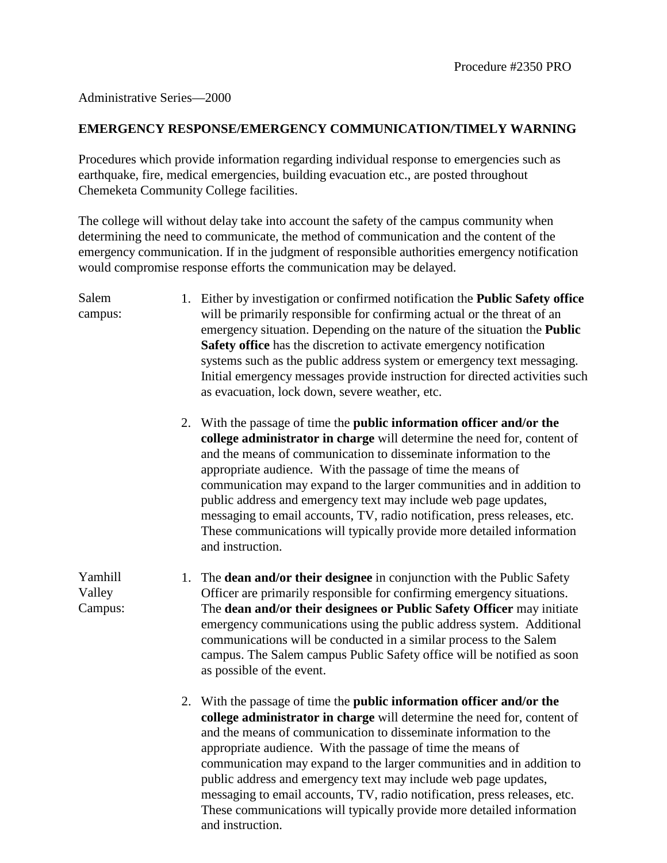## Administrative Series—2000

Yamhill Valley Campus:

## **EMERGENCY RESPONSE/EMERGENCY COMMUNICATION/TIMELY WARNING**

Procedures which provide information regarding individual response to emergencies such as earthquake, fire, medical emergencies, building evacuation etc., are posted throughout Chemeketa Community College facilities.

The college will without delay take into account the safety of the campus community when determining the need to communicate, the method of communication and the content of the emergency communication. If in the judgment of responsible authorities emergency notification would compromise response efforts the communication may be delayed.

Salem campus: 1. Either by investigation or confirmed notification the **Public Safety office** will be primarily responsible for confirming actual or the threat of an emergency situation. Depending on the nature of the situation the **Public Safety office** has the discretion to activate emergency notification systems such as the public address system or emergency text messaging. Initial emergency messages provide instruction for directed activities such as evacuation, lock down, severe weather, etc.

> 2. With the passage of time the **public information officer and/or the college administrator in charge** will determine the need for, content of and the means of communication to disseminate information to the appropriate audience. With the passage of time the means of communication may expand to the larger communities and in addition to public address and emergency text may include web page updates, messaging to email accounts, TV, radio notification, press releases, etc. These communications will typically provide more detailed information and instruction.

1. The **dean and/or their designee** in conjunction with the Public Safety Officer are primarily responsible for confirming emergency situations. The **dean and/or their designees or Public Safety Officer** may initiate emergency communications using the public address system. Additional communications will be conducted in a similar process to the Salem campus. The Salem campus Public Safety office will be notified as soon as possible of the event.

2. With the passage of time the **public information officer and/or the college administrator in charge** will determine the need for, content of and the means of communication to disseminate information to the appropriate audience. With the passage of time the means of communication may expand to the larger communities and in addition to public address and emergency text may include web page updates, messaging to email accounts, TV, radio notification, press releases, etc. These communications will typically provide more detailed information and instruction.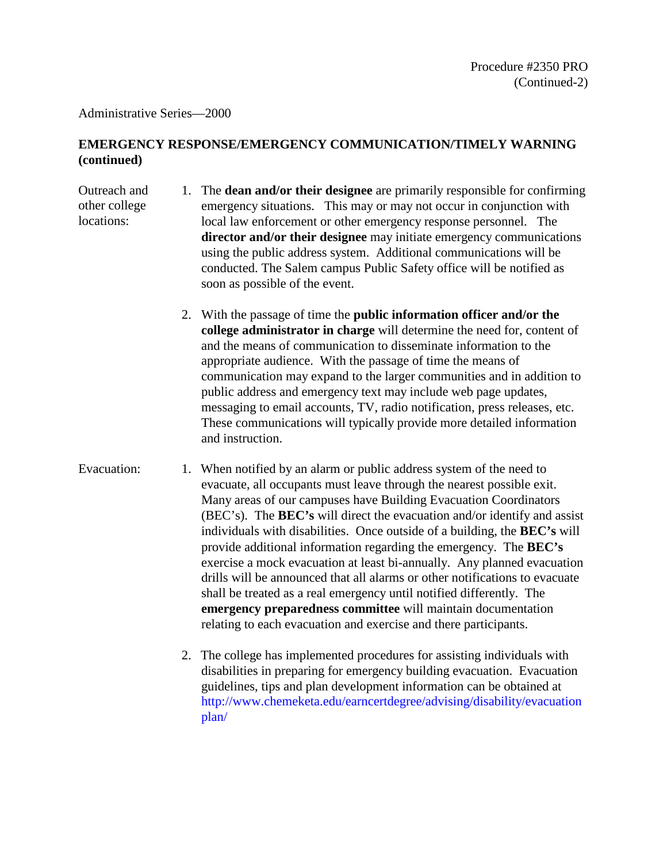Administrative Series—2000

## **EMERGENCY RESPONSE/EMERGENCY COMMUNICATION/TIMELY WARNING (continued)**

- Outreach and other college locations: 1. The **dean and/or their designee** are primarily responsible for confirming emergency situations. This may or may not occur in conjunction with local law enforcement or other emergency response personnel. The **director and/or their designee** may initiate emergency communications using the public address system. Additional communications will be conducted. The Salem campus Public Safety office will be notified as soon as possible of the event.
	- 2. With the passage of time the **public information officer and/or the college administrator in charge** will determine the need for, content of and the means of communication to disseminate information to the appropriate audience. With the passage of time the means of communication may expand to the larger communities and in addition to public address and emergency text may include web page updates, messaging to email accounts, TV, radio notification, press releases, etc. These communications will typically provide more detailed information and instruction.
- Evacuation: 1. When notified by an alarm or public address system of the need to evacuate, all occupants must leave through the nearest possible exit. Many areas of our campuses have Building Evacuation Coordinators (BEC's). The **BEC's** will direct the evacuation and/or identify and assist individuals with disabilities. Once outside of a building, the **BEC's** will provide additional information regarding the emergency. The **BEC's**  exercise a mock evacuation at least bi-annually. Any planned evacuation drills will be announced that all alarms or other notifications to evacuate shall be treated as a real emergency until notified differently. The **emergency preparedness committee** will maintain documentation relating to each evacuation and exercise and there participants.
	- 2. The college has implemented procedures for assisting individuals with disabilities in preparing for emergency building evacuation. Evacuation guidelines, tips and plan development information can be obtained at [http://www.chemeketa.edu/earncertdegree/advising/disability/evacuation](http://www.chemeketa.edu/earncertdegree/advising/disability/evacuationplan/) [plan/](http://www.chemeketa.edu/earncertdegree/advising/disability/evacuationplan/)